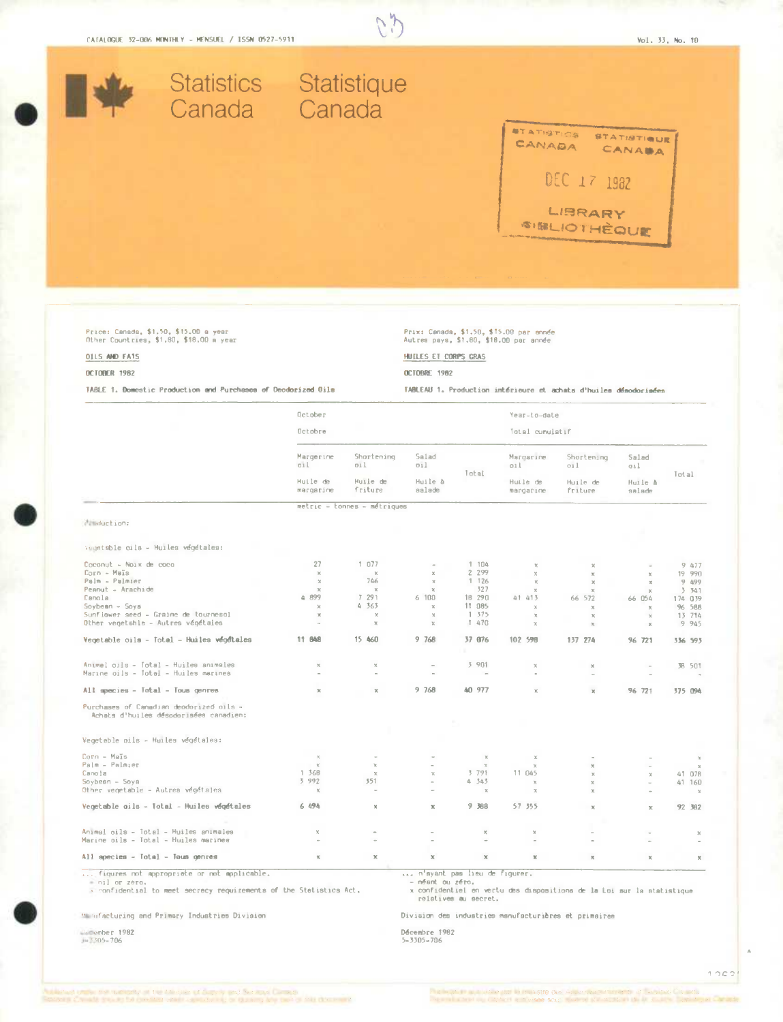

Prix: Canada, \$1,50, \$15.00 par année<br>Autres pays, \$1.00, \$18.00 par année

HUILES ET CORPS GRAS

**OCTOBRE 1982** 

 $25$ 

# Price: Canada, \$1,50, \$15.00 a year<br>Other Countries, \$1,80, \$18.00 a year

## **OILS AND FATS**

#### OCTOBER 1982

TABLE 1. Do  $\sim$   $\sim$ *Charles Court Hills* 

|                                                                                   | October                      |                             |                          |                   | Year-to-date          |                     |                       |                        |
|-----------------------------------------------------------------------------------|------------------------------|-----------------------------|--------------------------|-------------------|-----------------------|---------------------|-----------------------|------------------------|
|                                                                                   | Octobre                      |                             |                          |                   | Total cumulatif       |                     |                       |                        |
|                                                                                   | Margerine<br>0.11            | Shortening<br>oil           | Salad<br>oil.            |                   | Margarine<br>011      | Shortening<br>011   | Salad<br>oil          |                        |
|                                                                                   | Huile de<br>margarine        | Huile de<br>friture         | Huile à<br>aalade        | Total             | Huile de<br>margarine | Huile de<br>friture | Huile à<br>salade     | Total                  |
|                                                                                   |                              | metric - Lonnes - métriques |                          |                   |                       |                     |                       |                        |
| Munduction:                                                                       |                              |                             |                          |                   |                       |                     |                       |                        |
| Vegetable oils - Muiles végétales:                                                |                              |                             |                          |                   |                       |                     |                       |                        |
| $Coconvt - No1 \times de coca$                                                    | 27                           | 1 077                       |                          | 1 104             | $\mathbbm{Z}$         | x                   |                       | 9 477                  |
| Corn - Maïs                                                                       | $\mathbbm{K}$                | $\mathbb{X}$                | $\mathbb X$              | 2 299             | $\times$              | $\mathbb{R}$        | $\mathbb{X}$          | 19 990                 |
| Palm - Palmier                                                                    | $\chi$                       | 746                         | $\chi$                   | 1 126             | $\mathbb{X}$          | $\chi$              | $\mathbf x$           | 9 499                  |
| Peanut - Arachide                                                                 | $\chi$<br>4 899              | $\mathbb{X}$<br>7 291       | $\mathbb{M}$<br>6 100    | 327               | $\mathbb{M}$          | $\mathbb R$         | $\mathbf x$           | 3 341                  |
| Canola<br>Soybean - Soya                                                          | $\chi$                       | 4 3 6 3                     | $\mathbbm{K}$            | 18 29 0<br>11 085 | 41 413<br>$\mathbf x$ | 66 572<br>$\times$  | 66 054<br>$\times$    | 174 039<br>96 588      |
| Sunflower seed - Graine de tournesol                                              | $\mathbbm{K}$                | $\chi$                      | $\rm{M}$                 | 1375              | $\mathbb{M}$          | $\mathbb{X}$        | $\times$              | 13 714                 |
| Other vegetable - Autres végétales                                                | $\overline{a}$               | $\times$                    | $\mathbb{X}$             | 1 470             | $\chi$                | $\mathcal{H}$       | $\boldsymbol{\times}$ | 9 945                  |
| Vegetable cils - Total - Huiles végétales                                         | 11 848                       | 15 460                      | 9768                     | 37 876            | 102 598               | 137 274             | 96 721                | 336 593                |
| Animel cils - Total - Huiles animales                                             | $\mathbb{X}$                 | $\mathbb{X}$                | $\overline{a}$           | 3 9 0 1           | $\mathbb X$           | $\chi$              |                       | 38 501                 |
| Marine oils - Total - Huiles marines                                              | ×.                           | ×.                          |                          | $\overline{a}$    |                       |                     |                       |                        |
| All species - Total - Tous genres                                                 | $\mathbb{X}$                 | $\mathbb X$                 | 9 768                    | AO 977            | ĸ                     | $\mathbbm{K}$       | 96 721                | 375 094                |
| Purchases of Canadian deodorized oils -<br>Achats d'huiles désodorisées canadien: |                              |                             |                          |                   |                       |                     |                       |                        |
| Vegetable pils - Huiles végétales:                                                |                              |                             |                          |                   |                       |                     |                       |                        |
| Corn - Maïs                                                                       | $\times$                     |                             |                          | $\!\times\!$      | $\mathbb X$           |                     |                       | $\approx$              |
| Palm - Palmier                                                                    | $\mathbb{X}$                 | $\mathbb{X}$                |                          | $\propto$         | $\chi$                | ×                   |                       | $\,$ X                 |
| Canola                                                                            | 1 368                        | $\times$                    | X.                       | 3 7 9 1           | 11 045                | $\mathbbm{K}$       | $\chi$                | 41 078                 |
| Soybesn - Soya<br>Other vegetable - Autres végétaies                              | 3 992<br>$\boldsymbol{\chi}$ | 351<br>٠                    | $\overline{\phantom{a}}$ | 4 343<br>$\asymp$ | $\chi$<br>$\mathbb X$ | x<br>$\!\times\!$   | à.                    | 41 160<br>$\mathbb{X}$ |
| Vegetable oils - Total - Huiles végétales                                         | 6 494                        | $\chi$                      | ×                        | 9 388             | 57 355                | $\mathbb{X}$        | $\boldsymbol{\times}$ | 92 382                 |
|                                                                                   |                              |                             |                          |                   |                       |                     |                       |                        |
| Animal oils - Total - Huiles animales                                             | $\chi$                       |                             |                          | ×                 | $\mathbf x$           |                     |                       | $\chi$                 |
| Marine oils - Total - Huiles marinee                                              |                              |                             | i.                       |                   |                       |                     |                       |                        |
| All species - Total - Tous genres                                                 | $\mathbb X$                  | $\boldsymbol{\times}$       | $\mathbb X$              | $\mathbb X$       | $\mathbb{N}$          | ×                   | $\chi$                | $\times$               |

... figures not appropriate or not applications.<br>In the Statistics Act,<br>In confidential to meet secrecy requirements of the Statistics Act,

Manufacturing and Primary Industries Division

Scenber 1982<br>303-905-706

- nearly passion<br>- nearly passion.<br>x confidentiel en vertu des dispositions de la Loi sur la statistique<br>relatives au secret.

Division des industries manufacturières et primaires

Décembre 1982<br>5-3305-706

 $1000$